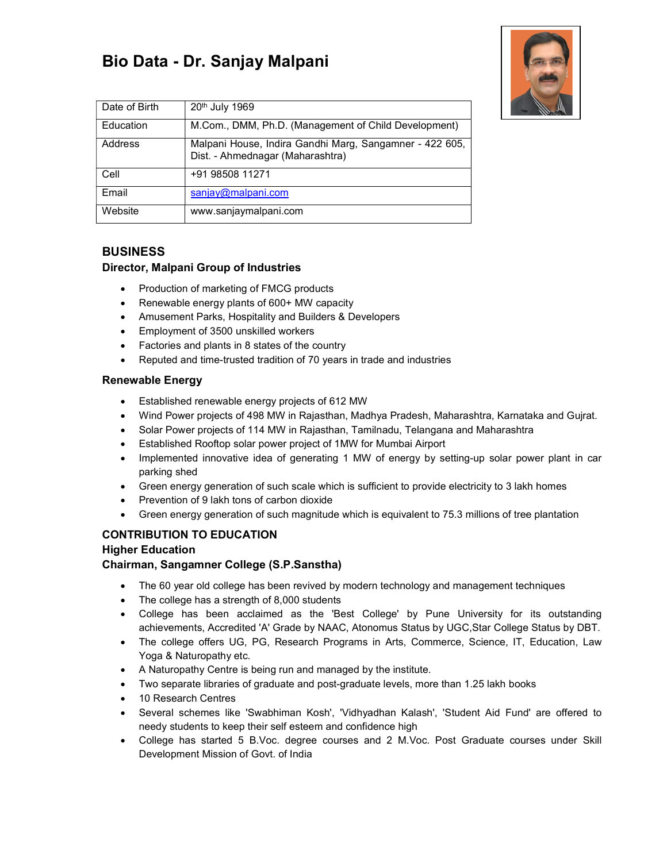# Bio Data - Dr. Sanjay Malpani



| Date of Birth | 20 <sup>th</sup> July 1969                                                                  |  |
|---------------|---------------------------------------------------------------------------------------------|--|
| Education     | M.Com., DMM, Ph.D. (Management of Child Development)                                        |  |
| Address       | Malpani House, Indira Gandhi Marg, Sangamner - 422 605,<br>Dist. - Ahmednagar (Maharashtra) |  |
| Cell          | +91 98508 11271                                                                             |  |
| Email         | $\frac{\text{san} \cdot \text{av}}{2}$ sanjay@malpani.com                                   |  |
| Website       | www.sanjaymalpani.com                                                                       |  |

# **BUSINESS**

# Director, Malpani Group of Industries

- Production of marketing of FMCG products
- Renewable energy plants of 600+ MW capacity
- Amusement Parks, Hospitality and Builders & Developers
- **Employment of 3500 unskilled workers**
- Factories and plants in 8 states of the country
- Reputed and time-trusted tradition of 70 years in trade and industries

# Renewable Energy

- Established renewable energy projects of 612 MW
- Wind Power projects of 498 MW in Rajasthan, Madhya Pradesh, Maharashtra, Karnataka and Gujrat.
- Solar Power projects of 114 MW in Rajasthan, Tamilnadu, Telangana and Maharashtra
- Established Rooftop solar power project of 1MW for Mumbai Airport
- Implemented innovative idea of generating 1 MW of energy by setting-up solar power plant in car parking shed
- Green energy generation of such scale which is sufficient to provide electricity to 3 lakh homes
- Prevention of 9 lakh tons of carbon dioxide
- Green energy generation of such magnitude which is equivalent to 75.3 millions of tree plantation

# CONTRIBUTION TO EDUCATION

# Higher Education

# Chairman, Sangamner College (S.P.Sanstha)

- The 60 year old college has been revived by modern technology and management techniques
- The college has a strength of 8,000 students
- College has been acclaimed as the 'Best College' by Pune University for its outstanding achievements, Accredited 'A' Grade by NAAC, Atonomus Status by UGC,Star College Status by DBT.
- The college offers UG, PG, Research Programs in Arts, Commerce, Science, IT, Education, Law Yoga & Naturopathy etc.
- A Naturopathy Centre is being run and managed by the institute.
- Two separate libraries of graduate and post-graduate levels, more than 1.25 lakh books
- 10 Research Centres
- Several schemes like 'Swabhiman Kosh', 'Vidhyadhan Kalash', 'Student Aid Fund' are offered to needy students to keep their self esteem and confidence high
- College has started 5 B.Voc. degree courses and 2 M.Voc. Post Graduate courses under Skill Development Mission of Govt. of India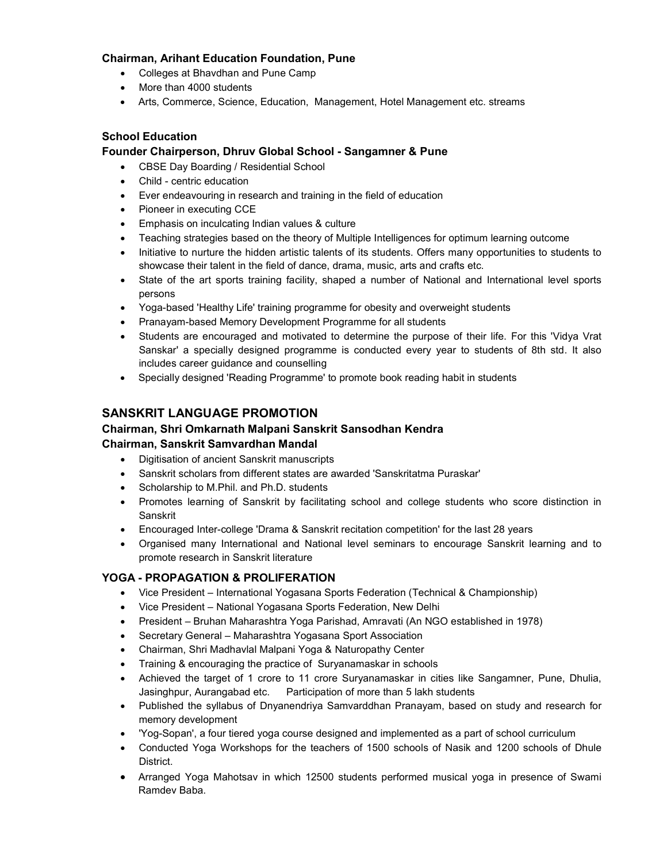# Chairman, Arihant Education Foundation, Pune

- Colleges at Bhavdhan and Pune Camp
- More than 4000 students
- Arts, Commerce, Science, Education, Management, Hotel Management etc. streams

#### School Education

#### Founder Chairperson, Dhruv Global School - Sangamner & Pune

- CBSE Day Boarding / Residential School
- Child centric education
- Ever endeavouring in research and training in the field of education
- Pioneer in executing CCE
- Emphasis on inculcating Indian values & culture
- Teaching strategies based on the theory of Multiple Intelligences for optimum learning outcome
- Initiative to nurture the hidden artistic talents of its students. Offers many opportunities to students to showcase their talent in the field of dance, drama, music, arts and crafts etc.
- State of the art sports training facility, shaped a number of National and International level sports persons
- Yoga-based 'Healthy Life' training programme for obesity and overweight students
- Pranayam-based Memory Development Programme for all students
- Students are encouraged and motivated to determine the purpose of their life. For this 'Vidya Vrat Sanskar' a specially designed programme is conducted every year to students of 8th std. It also includes career guidance and counselling
- Specially designed 'Reading Programme' to promote book reading habit in students

# SANSKRIT LANGUAGE PROMOTION

## Chairman, Shri Omkarnath Malpani Sanskrit Sansodhan Kendra Chairman, Sanskrit Samvardhan Mandal

- Digitisation of ancient Sanskrit manuscripts
- Sanskrit scholars from different states are awarded 'Sanskritatma Puraskar'
- Scholarship to M.Phil. and Ph.D. students
- Promotes learning of Sanskrit by facilitating school and college students who score distinction in Sanskrit
- Encouraged Inter-college 'Drama & Sanskrit recitation competition' for the last 28 years
- Organised many International and National level seminars to encourage Sanskrit learning and to promote research in Sanskrit literature

# YOGA - PROPAGATION & PROLIFERATION

- Vice President International Yogasana Sports Federation (Technical & Championship)
- Vice President National Yogasana Sports Federation, New Delhi
- President Bruhan Maharashtra Yoga Parishad, Amravati (An NGO established in 1978)
- Secretary General Maharashtra Yogasana Sport Association
- Chairman, Shri Madhavlal Malpani Yoga & Naturopathy Center
- Training & encouraging the practice of Suryanamaskar in schools
- Achieved the target of 1 crore to 11 crore Suryanamaskar in cities like Sangamner, Pune, Dhulia, Jasinghpur, Aurangabad etc. Participation of more than 5 lakh students
- Published the syllabus of Dnyanendriya Samvarddhan Pranayam, based on study and research for memory development
- 'Yog-Sopan', a four tiered yoga course designed and implemented as a part of school curriculum
- Conducted Yoga Workshops for the teachers of 1500 schools of Nasik and 1200 schools of Dhule District.
- Arranged Yoga Mahotsav in which 12500 students performed musical yoga in presence of Swami Ramdev Baba.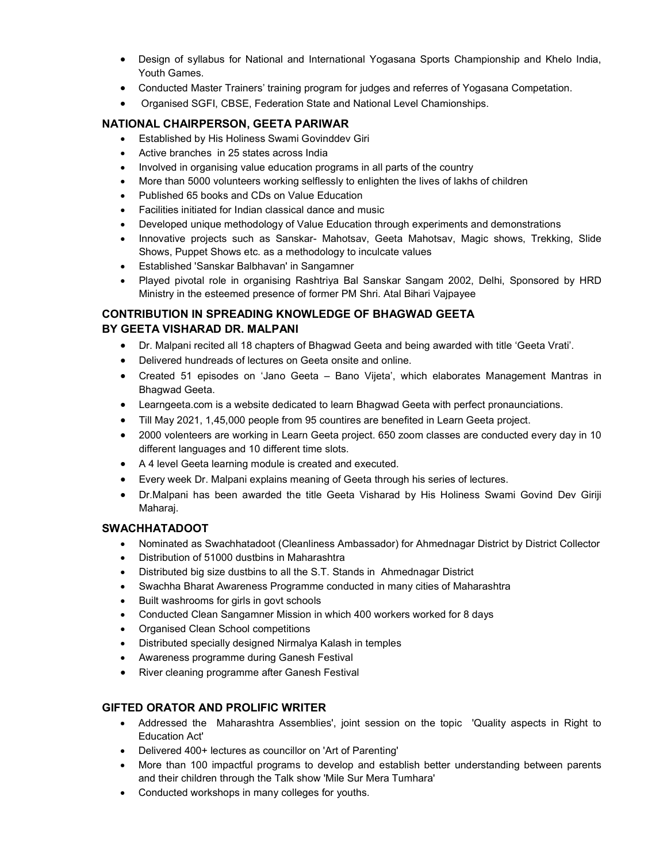- Design of syllabus for National and International Yogasana Sports Championship and Khelo India, Youth Games.
- Conducted Master Trainers' training program for judges and referres of Yogasana Competation.
- Organised SGFI, CBSE, Federation State and National Level Chamionships.

# NATIONAL CHAIRPERSON, GEETA PARIWAR

- Established by His Holiness Swami Govinddev Giri
- Active branches in 25 states across India
- Involved in organising value education programs in all parts of the country
- More than 5000 volunteers working selflessly to enlighten the lives of lakhs of children
- Published 65 books and CDs on Value Education
- Facilities initiated for Indian classical dance and music
- Developed unique methodology of Value Education through experiments and demonstrations
- Innovative projects such as Sanskar- Mahotsav, Geeta Mahotsav, Magic shows, Trekking, Slide Shows, Puppet Shows etc. as a methodology to inculcate values
- Established 'Sanskar Balbhavan' in Sangamner
- Played pivotal role in organising Rashtriya Bal Sanskar Sangam 2002, Delhi, Sponsored by HRD Ministry in the esteemed presence of former PM Shri. Atal Bihari Vajpayee

# CONTRIBUTION IN SPREADING KNOWLEDGE OF BHAGWAD GEETA BY GEETA VISHARAD DR. MALPANI

- Dr. Malpani recited all 18 chapters of Bhagwad Geeta and being awarded with title 'Geeta Vrati'.
- Delivered hundreads of lectures on Geeta onsite and online.
- Created 51 episodes on 'Jano Geeta Bano Vijeta', which elaborates Management Mantras in Bhagwad Geeta.
- Learngeeta.com is a website dedicated to learn Bhagwad Geeta with perfect pronaunciations.
- Till May 2021, 1,45,000 people from 95 countires are benefited in Learn Geeta project.
- 2000 volenteers are working in Learn Geeta project. 650 zoom classes are conducted every day in 10 different languages and 10 different time slots.
- A 4 level Geeta learning module is created and executed.
- Every week Dr. Malpani explains meaning of Geeta through his series of lectures.
- Dr.Malpani has been awarded the title Geeta Visharad by His Holiness Swami Govind Dev Giriji Maharaj.

# SWACHHATADOOT

- Nominated as Swachhatadoot (Cleanliness Ambassador) for Ahmednagar District by District Collector
- Distribution of 51000 dustbins in Maharashtra
- Distributed big size dustbins to all the S.T. Stands in Ahmednagar District
- Swachha Bharat Awareness Programme conducted in many cities of Maharashtra
- Built washrooms for girls in govt schools
- Conducted Clean Sangamner Mission in which 400 workers worked for 8 days
- Organised Clean School competitions
- Distributed specially designed Nirmalya Kalash in temples
- Awareness programme during Ganesh Festival
- River cleaning programme after Ganesh Festival

# GIFTED ORATOR AND PROLIFIC WRITER

- Addressed the Maharashtra Assemblies', joint session on the topic 'Quality aspects in Right to Education Act'
- Delivered 400+ lectures as councillor on 'Art of Parenting'
- More than 100 impactful programs to develop and establish better understanding between parents and their children through the Talk show 'Mile Sur Mera Tumhara'
- Conducted workshops in many colleges for youths.